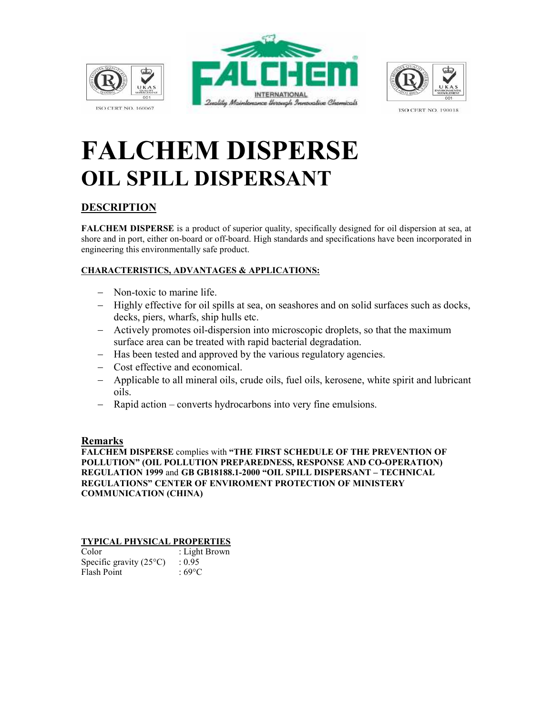

**ISO CERT NO. 160067** 





**ISO CERT NO. 190018** 

# FALCHEM DISPERSE OIL SPILL DISPERSANT

## DESCRIPTION

FALCHEM DISPERSE is a product of superior quality, specifically designed for oil dispersion at sea, at shore and in port, either on-board or off-board. High standards and specifications have been incorporated in engineering this environmentally safe product.

#### CHARACTERISTICS, ADVANTAGES & APPLICATIONS:

- − Non-toxic to marine life.
- − Highly effective for oil spills at sea, on seashores and on solid surfaces such as docks, decks, piers, wharfs, ship hulls etc.
- − Actively promotes oil-dispersion into microscopic droplets, so that the maximum surface area can be treated with rapid bacterial degradation.
- − Has been tested and approved by the various regulatory agencies.
- − Cost effective and economical.
- − Applicable to all mineral oils, crude oils, fuel oils, kerosene, white spirit and lubricant oils.
- − Rapid action converts hydrocarbons into very fine emulsions.

#### Remarks

FALCHEM DISPERSE complies with "THE FIRST SCHEDULE OF THE PREVENTION OF POLLUTION" (OIL POLLUTION PREPAREDNESS, RESPONSE AND CO-OPERATION) REGULATION 1999 and GB GB18188.1-2000 "OIL SPILL DISPERSANT – TECHNICAL REGULATIONS" CENTER OF ENVIROMENT PROTECTION OF MINISTERY COMMUNICATION (CHINA)

#### TYPICAL PHYSICAL PROPERTIES

| Color                            | : Light Brown |
|----------------------------------|---------------|
| Specific gravity $(25^{\circ}C)$ | : 0.95        |
| Flash Point                      | : 69°C        |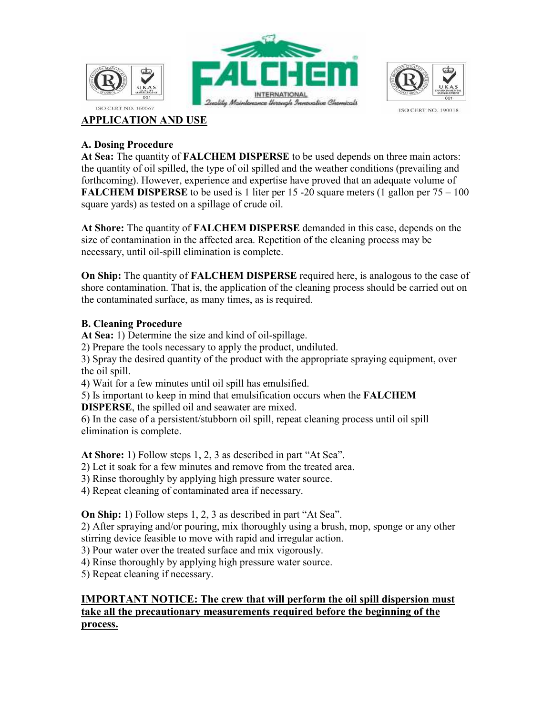





**ISO CERT NO. 190018** 

## APPLICATION AND USE

### A. Dosing Procedure

At Sea: The quantity of FALCHEM DISPERSE to be used depends on three main actors: the quantity of oil spilled, the type of oil spilled and the weather conditions (prevailing and forthcoming). However, experience and expertise have proved that an adequate volume of **FALCHEM DISPERSE** to be used is 1 liter per 15 -20 square meters (1 gallon per  $75 - 100$ ) square yards) as tested on a spillage of crude oil.

At Shore: The quantity of **FALCHEM DISPERSE** demanded in this case, depends on the size of contamination in the affected area. Repetition of the cleaning process may be necessary, until oil-spill elimination is complete.

On Ship: The quantity of FALCHEM DISPERSE required here, is analogous to the case of shore contamination. That is, the application of the cleaning process should be carried out on the contaminated surface, as many times, as is required.

### B. Cleaning Procedure

At Sea: 1) Determine the size and kind of oil-spillage.

2) Prepare the tools necessary to apply the product, undiluted.

3) Spray the desired quantity of the product with the appropriate spraying equipment, over the oil spill.

4) Wait for a few minutes until oil spill has emulsified.

5) Is important to keep in mind that emulsification occurs when the FALCHEM

DISPERSE, the spilled oil and seawater are mixed.

6) In the case of a persistent/stubborn oil spill, repeat cleaning process until oil spill elimination is complete.

At Shore: 1) Follow steps 1, 2, 3 as described in part "At Sea".

2) Let it soak for a few minutes and remove from the treated area.

3) Rinse thoroughly by applying high pressure water source.

4) Repeat cleaning of contaminated area if necessary.

On Ship: 1) Follow steps 1, 2, 3 as described in part "At Sea".

2) After spraying and/or pouring, mix thoroughly using a brush, mop, sponge or any other stirring device feasible to move with rapid and irregular action.

3) Pour water over the treated surface and mix vigorously.

4) Rinse thoroughly by applying high pressure water source.

5) Repeat cleaning if necessary.

## IMPORTANT NOTICE: The crew that will perform the oil spill dispersion must take all the precautionary measurements required before the beginning of the process.